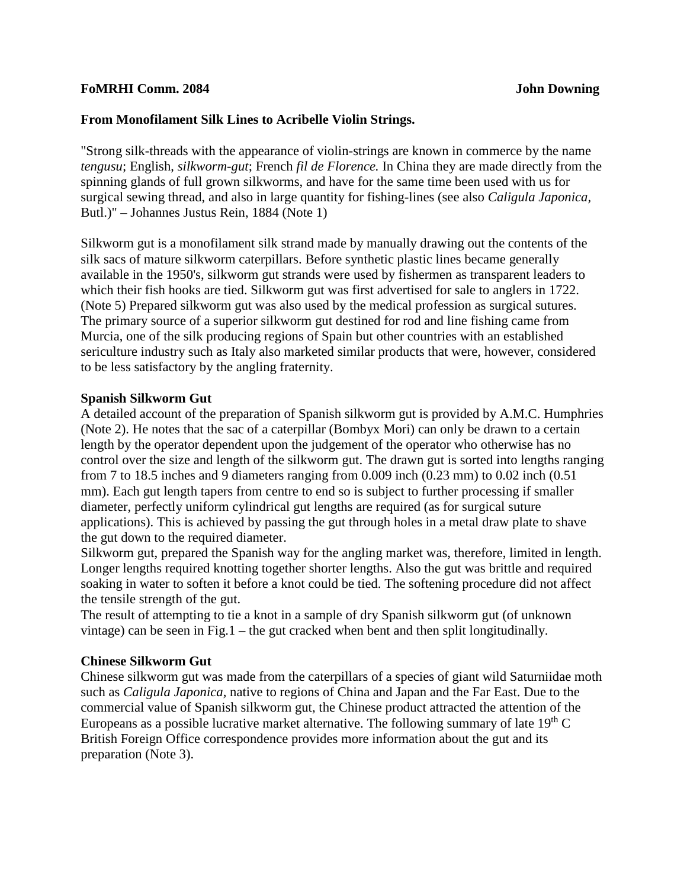#### **FoMRHI Comm. 2084 John Downing**

#### **From Monofilament Silk Lines to Acribelle Violin Strings.**

"Strong silk-threads with the appearance of violin-strings are known in commerce by the name *tengusu*; English, *silkworm-gut*; French *fil de Florence.* In China they are made directly from the spinning glands of full grown silkworms, and have for the same time been used with us for surgical sewing thread, and also in large quantity for fishing-lines (see also *Caligula Japonica,*  Butl.)" – Johannes Justus Rein, 1884 (Note 1)

Silkworm gut is a monofilament silk strand made by manually drawing out the contents of the silk sacs of mature silkworm caterpillars. Before synthetic plastic lines became generally available in the 1950's, silkworm gut strands were used by fishermen as transparent leaders to which their fish hooks are tied. Silkworm gut was first advertised for sale to anglers in 1722. (Note 5) Prepared silkworm gut was also used by the medical profession as surgical sutures. The primary source of a superior silkworm gut destined for rod and line fishing came from Murcia, one of the silk producing regions of Spain but other countries with an established sericulture industry such as Italy also marketed similar products that were, however, considered to be less satisfactory by the angling fraternity.

#### **Spanish Silkworm Gut**

A detailed account of the preparation of Spanish silkworm gut is provided by A.M.C. Humphries (Note 2). He notes that the sac of a caterpillar (Bombyx Mori) can only be drawn to a certain length by the operator dependent upon the judgement of the operator who otherwise has no control over the size and length of the silkworm gut. The drawn gut is sorted into lengths ranging from 7 to 18.5 inches and 9 diameters ranging from 0.009 inch (0.23 mm) to 0.02 inch (0.51 mm). Each gut length tapers from centre to end so is subject to further processing if smaller diameter, perfectly uniform cylindrical gut lengths are required (as for surgical suture applications). This is achieved by passing the gut through holes in a metal draw plate to shave the gut down to the required diameter.

Silkworm gut, prepared the Spanish way for the angling market was, therefore, limited in length. Longer lengths required knotting together shorter lengths. Also the gut was brittle and required soaking in water to soften it before a knot could be tied. The softening procedure did not affect the tensile strength of the gut.

The result of attempting to tie a knot in a sample of dry Spanish silkworm gut (of unknown vintage) can be seen in Fig.1 – the gut cracked when bent and then split longitudinally.

#### **Chinese Silkworm Gut**

Chinese silkworm gut was made from the caterpillars of a species of giant wild Saturniidae moth such as *Caligula Japonica,* native to regions of China and Japan and the Far East. Due to the commercial value of Spanish silkworm gut, the Chinese product attracted the attention of the Europeans as a possible lucrative market alternative. The following summary of late  $19<sup>th</sup>$ C British Foreign Office correspondence provides more information about the gut and its preparation (Note 3).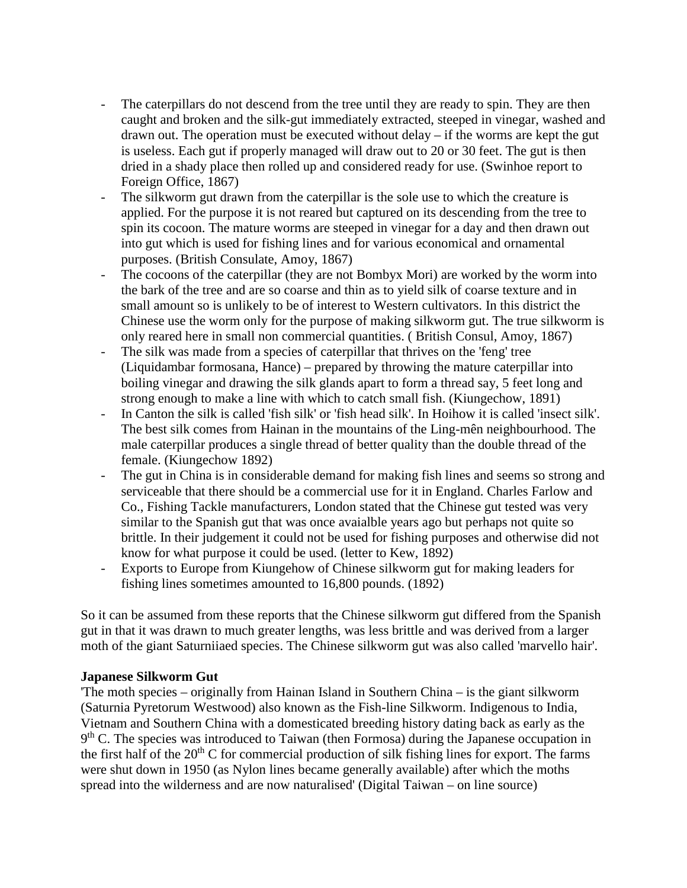- The caterpillars do not descend from the tree until they are ready to spin. They are then caught and broken and the silk-gut immediately extracted, steeped in vinegar, washed and drawn out. The operation must be executed without delay – if the worms are kept the gut is useless. Each gut if properly managed will draw out to 20 or 30 feet. The gut is then dried in a shady place then rolled up and considered ready for use. (Swinhoe report to Foreign Office, 1867)
- The silkworm gut drawn from the caterpillar is the sole use to which the creature is applied. For the purpose it is not reared but captured on its descending from the tree to spin its cocoon. The mature worms are steeped in vinegar for a day and then drawn out into gut which is used for fishing lines and for various economical and ornamental purposes. (British Consulate, Amoy, 1867)
- The cocoons of the caterpillar (they are not Bombyx Mori) are worked by the worm into the bark of the tree and are so coarse and thin as to yield silk of coarse texture and in small amount so is unlikely to be of interest to Western cultivators. In this district the Chinese use the worm only for the purpose of making silkworm gut. The true silkworm is only reared here in small non commercial quantities. ( British Consul, Amoy, 1867)
- The silk was made from a species of caterpillar that thrives on the 'feng' tree (Liquidambar formosana, Hance) – prepared by throwing the mature caterpillar into boiling vinegar and drawing the silk glands apart to form a thread say, 5 feet long and strong enough to make a line with which to catch small fish. (Kiungechow, 1891)
- In Canton the silk is called 'fish silk' or 'fish head silk'. In Hoihow it is called 'insect silk'. The best silk comes from Hainan in the mountains of the Ling-mên neighbourhood. The male caterpillar produces a single thread of better quality than the double thread of the female. (Kiungechow 1892)
- The gut in China is in considerable demand for making fish lines and seems so strong and serviceable that there should be a commercial use for it in England. Charles Farlow and Co., Fishing Tackle manufacturers, London stated that the Chinese gut tested was very similar to the Spanish gut that was once avaialble years ago but perhaps not quite so brittle. In their judgement it could not be used for fishing purposes and otherwise did not know for what purpose it could be used. (letter to Kew, 1892)
- Exports to Europe from Kiungehow of Chinese silkworm gut for making leaders for fishing lines sometimes amounted to 16,800 pounds. (1892)

So it can be assumed from these reports that the Chinese silkworm gut differed from the Spanish gut in that it was drawn to much greater lengths, was less brittle and was derived from a larger moth of the giant Saturniiaed species. The Chinese silkworm gut was also called 'marvello hair'.

#### **Japanese Silkworm Gut**

'The moth species – originally from Hainan Island in Southern China – is the giant silkworm (Saturnia Pyretorum Westwood) also known as the Fish-line Silkworm. Indigenous to India, Vietnam and Southern China with a domesticated breeding history dating back as early as the  $9<sup>th</sup>$  C. The species was introduced to Taiwan (then Formosa) during the Japanese occupation in the first half of the  $20<sup>th</sup>$  C for commercial production of silk fishing lines for export. The farms were shut down in 1950 (as Nylon lines became generally available) after which the moths spread into the wilderness and are now naturalised' (Digital Taiwan – on line source)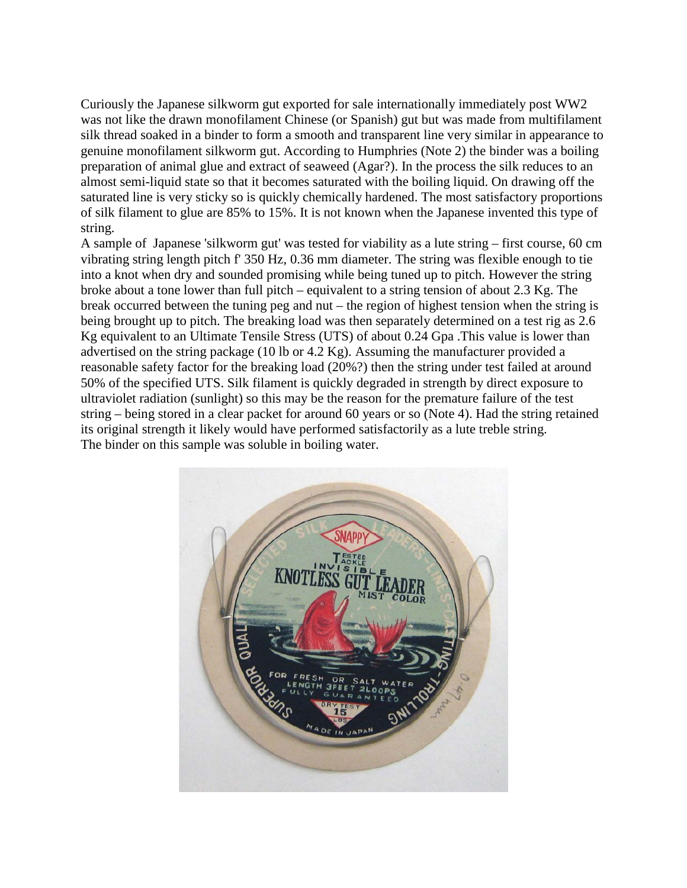Curiously the Japanese silkworm gut exported for sale internationally immediately post WW2 was not like the drawn monofilament Chinese (or Spanish) gut but was made from multifilament silk thread soaked in a binder to form a smooth and transparent line very similar in appearance to genuine monofilament silkworm gut. According to Humphries (Note 2) the binder was a boiling preparation of animal glue and extract of seaweed (Agar?). In the process the silk reduces to an almost semi-liquid state so that it becomes saturated with the boiling liquid. On drawing off the saturated line is very sticky so is quickly chemically hardened. The most satisfactory proportions of silk filament to glue are 85% to 15%. It is not known when the Japanese invented this type of string.

A sample of Japanese 'silkworm gut' was tested for viability as a lute string – first course, 60 cm vibrating string length pitch f' 350 Hz, 0.36 mm diameter. The string was flexible enough to tie into a knot when dry and sounded promising while being tuned up to pitch. However the string broke about a tone lower than full pitch – equivalent to a string tension of about 2.3 Kg. The break occurred between the tuning peg and nut – the region of highest tension when the string is being brought up to pitch. The breaking load was then separately determined on a test rig as 2.6 Kg equivalent to an Ultimate Tensile Stress (UTS) of about 0.24 Gpa .This value is lower than advertised on the string package (10 lb or 4.2 Kg). Assuming the manufacturer provided a reasonable safety factor for the breaking load (20%?) then the string under test failed at around 50% of the specified UTS. Silk filament is quickly degraded in strength by direct exposure to ultraviolet radiation (sunlight) so this may be the reason for the premature failure of the test string – being stored in a clear packet for around 60 years or so (Note 4). Had the string retained its original strength it likely would have performed satisfactorily as a lute treble string. The binder on this sample was soluble in boiling water.

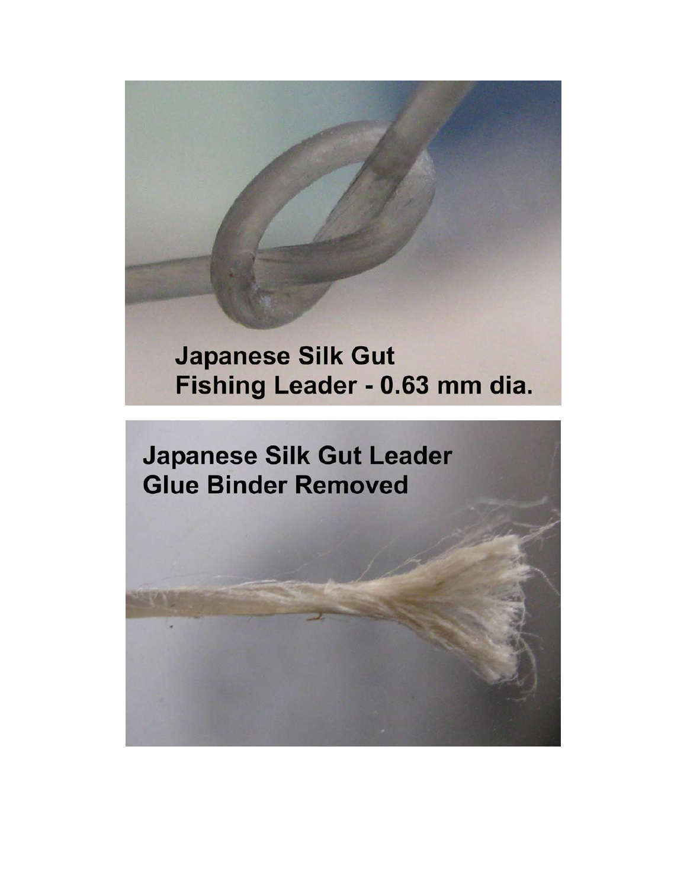# **Japanese Silk Gut** Fishing Leader - 0.63 mm dia.

**Japanese Silk Gut Leader Glue Binder Removed**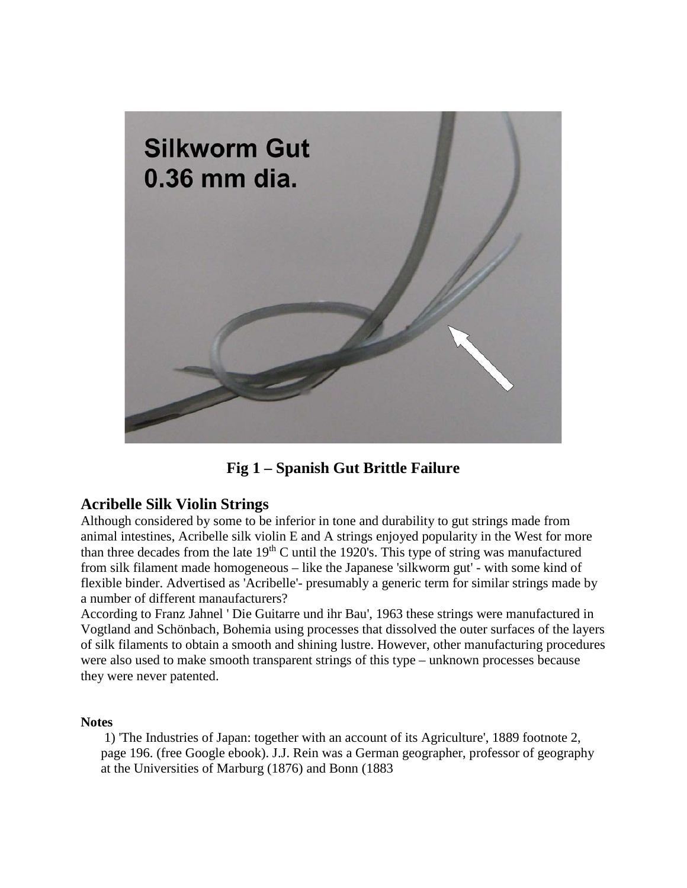

**Fig 1 – Spanish Gut Brittle Failure**

## **Acribelle Silk Violin Strings**

Although considered by some to be inferior in tone and durability to gut strings made from animal intestines, Acribelle silk violin E and A strings enjoyed popularity in the West for more than three decades from the late  $19<sup>th</sup>$ C until the 1920's. This type of string was manufactured from silk filament made homogeneous – like the Japanese 'silkworm gut' - with some kind of flexible binder. Advertised as 'Acribelle'- presumably a generic term for similar strings made by a number of different manaufacturers?

According to Franz Jahnel ' Die Guitarre und ihr Bau', 1963 these strings were manufactured in Vogtland and Schönbach, Bohemia using processes that dissolved the outer surfaces of the layers of silk filaments to obtain a smooth and shining lustre. However, other manufacturing procedures were also used to make smooth transparent strings of this type – unknown processes because they were never patented.

### **Notes**

1) 'The Industries of Japan: together with an account of its Agriculture', 1889 footnote 2, page 196. (free Google ebook). J.J. Rein was a German geographer, professor of geography at the Universities of Marburg (1876) and Bonn (1883